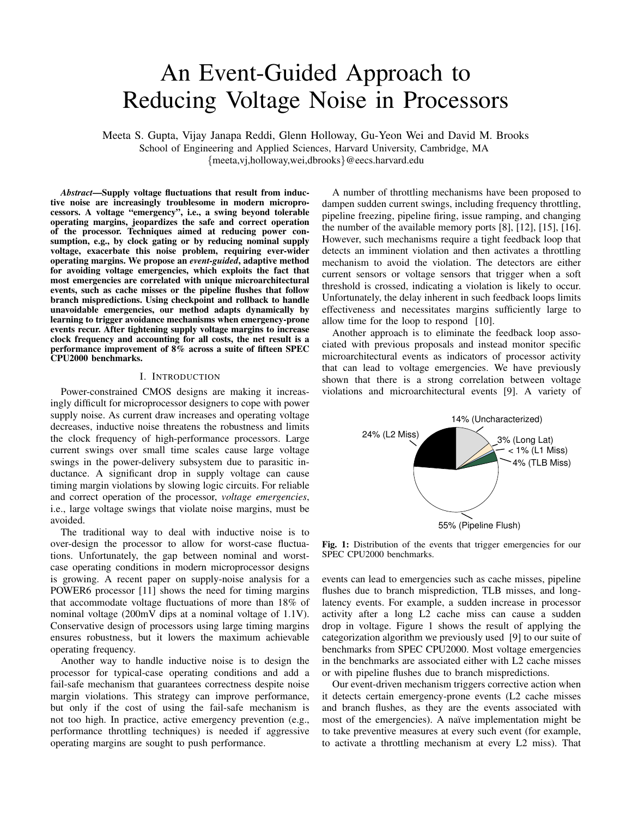# An Event-Guided Approach to Reducing Voltage Noise in Processors

Meeta S. Gupta, Vijay Janapa Reddi, Glenn Holloway, Gu-Yeon Wei and David M. Brooks School of Engineering and Applied Sciences, Harvard University, Cambridge, MA {meeta,vj,holloway,wei,dbrooks}@eecs.harvard.edu

*Abstract*—Supply voltage fluctuations that result from inductive noise are increasingly troublesome in modern microprocessors. A voltage "emergency", i.e., a swing beyond tolerable operating margins, jeopardizes the safe and correct operation of the processor. Techniques aimed at reducing power consumption, e.g., by clock gating or by reducing nominal supply voltage, exacerbate this noise problem, requiring ever-wider operating margins. We propose an *event-guided*, adaptive method for avoiding voltage emergencies, which exploits the fact that most emergencies are correlated with unique microarchitectural events, such as cache misses or the pipeline flushes that follow branch mispredictions. Using checkpoint and rollback to handle unavoidable emergencies, our method adapts dynamically by learning to trigger avoidance mechanisms when emergency-prone events recur. After tightening supply voltage margins to increase clock frequency and accounting for all costs, the net result is a performance improvement of 8% across a suite of fifteen SPEC CPU2000 benchmarks.

#### I. INTRODUCTION

Power-constrained CMOS designs are making it increasingly difficult for microprocessor designers to cope with power supply noise. As current draw increases and operating voltage decreases, inductive noise threatens the robustness and limits the clock frequency of high-performance processors. Large current swings over small time scales cause large voltage swings in the power-delivery subsystem due to parasitic inductance. A significant drop in supply voltage can cause timing margin violations by slowing logic circuits. For reliable and correct operation of the processor, *voltage emergencies*, i.e., large voltage swings that violate noise margins, must be avoided.

The traditional way to deal with inductive noise is to over-design the processor to allow for worst-case fluctuations. Unfortunately, the gap between nominal and worstcase operating conditions in modern microprocessor designs is growing. A recent paper on supply-noise analysis for a POWER6 processor [11] shows the need for timing margins that accommodate voltage fluctuations of more than 18% of nominal voltage (200mV dips at a nominal voltage of 1.1V). Conservative design of processors using large timing margins ensures robustness, but it lowers the maximum achievable operating frequency.

Another way to handle inductive noise is to design the processor for typical-case operating conditions and add a fail-safe mechanism that guarantees correctness despite noise margin violations. This strategy can improve performance, but only if the cost of using the fail-safe mechanism is not too high. In practice, active emergency prevention (e.g., performance throttling techniques) is needed if aggressive operating margins are sought to push performance.

A number of throttling mechanisms have been proposed to dampen sudden current swings, including frequency throttling, pipeline freezing, pipeline firing, issue ramping, and changing the number of the available memory ports [8], [12], [15], [16]. However, such mechanisms require a tight feedback loop that detects an imminent violation and then activates a throttling mechanism to avoid the violation. The detectors are either current sensors or voltage sensors that trigger when a soft threshold is crossed, indicating a violation is likely to occur. Unfortunately, the delay inherent in such feedback loops limits effectiveness and necessitates margins sufficiently large to allow time for the loop to respond [10].

Another approach is to eliminate the feedback loop associated with previous proposals and instead monitor specific microarchitectural events as indicators of processor activity that can lead to voltage emergencies. We have previously shown that there is a strong correlation between voltage violations and microarchitectural events [9]. A variety of



Fig. 1: Distribution of the events that trigger emergencies for our SPEC CPU2000 benchmarks.

events can lead to emergencies such as cache misses, pipeline flushes due to branch misprediction, TLB misses, and longlatency events. For example, a sudden increase in processor activity after a long L2 cache miss can cause a sudden drop in voltage. Figure 1 shows the result of applying the categorization algorithm we previously used [9] to our suite of benchmarks from SPEC CPU2000. Most voltage emergencies in the benchmarks are associated either with L2 cache misses or with pipeline flushes due to branch mispredictions.

Our event-driven mechanism triggers corrective action when it detects certain emergency-prone events (L2 cache misses and branch flushes, as they are the events associated with most of the emergencies). A naïve implementation might be to take preventive measures at every such event (for example, to activate a throttling mechanism at every L2 miss). That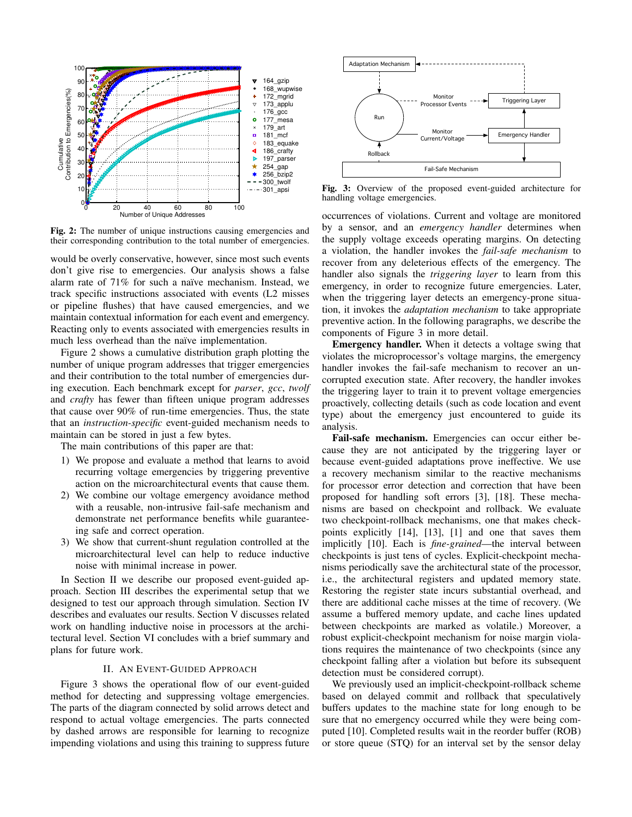

Fig. 2: The number of unique instructions causing emergencies and their corresponding contribution to the total number of emergencies.

would be overly conservative, however, since most such events don't give rise to emergencies. Our analysis shows a false alarm rate of 71% for such a naïve mechanism. Instead, we track specific instructions associated with events (L2 misses or pipeline flushes) that have caused emergencies, and we maintain contextual information for each event and emergency. Reacting only to events associated with emergencies results in much less overhead than the naïve implementation.

Figure 2 shows a cumulative distribution graph plotting the number of unique program addresses that trigger emergencies and their contribution to the total number of emergencies during execution. Each benchmark except for *parser*, *gcc*, *twolf* and *crafty* has fewer than fifteen unique program addresses that cause over 90% of run-time emergencies. Thus, the state that an *instruction-specific* event-guided mechanism needs to maintain can be stored in just a few bytes.

The main contributions of this paper are that:

- 1) We propose and evaluate a method that learns to avoid recurring voltage emergencies by triggering preventive action on the microarchitectural events that cause them.
- 2) We combine our voltage emergency avoidance method with a reusable, non-intrusive fail-safe mechanism and demonstrate net performance benefits while guaranteeing safe and correct operation.
- 3) We show that current-shunt regulation controlled at the microarchitectural level can help to reduce inductive noise with minimal increase in power.

In Section II we describe our proposed event-guided approach. Section III describes the experimental setup that we designed to test our approach through simulation. Section IV describes and evaluates our results. Section V discusses related work on handling inductive noise in processors at the architectural level. Section VI concludes with a brief summary and plans for future work.

# II. AN EVENT-GUIDED APPROACH

Figure 3 shows the operational flow of our event-guided method for detecting and suppressing voltage emergencies. The parts of the diagram connected by solid arrows detect and respond to actual voltage emergencies. The parts connected by dashed arrows are responsible for learning to recognize impending violations and using this training to suppress future



Fig. 3: Overview of the proposed event-guided architecture for handling voltage emergencies.

occurrences of violations. Current and voltage are monitored by a sensor, and an *emergency handler* determines when the supply voltage exceeds operating margins. On detecting a violation, the handler invokes the *fail-safe mechanism* to recover from any deleterious effects of the emergency. The handler also signals the *triggering layer* to learn from this emergency, in order to recognize future emergencies. Later, when the triggering layer detects an emergency-prone situation, it invokes the *adaptation mechanism* to take appropriate preventive action. In the following paragraphs, we describe the components of Figure 3 in more detail.

Emergency handler. When it detects a voltage swing that violates the microprocessor's voltage margins, the emergency handler invokes the fail-safe mechanism to recover an uncorrupted execution state. After recovery, the handler invokes the triggering layer to train it to prevent voltage emergencies proactively, collecting details (such as code location and event type) about the emergency just encountered to guide its analysis.

Fail-safe mechanism. Emergencies can occur either because they are not anticipated by the triggering layer or because event-guided adaptations prove ineffective. We use a recovery mechanism similar to the reactive mechanisms for processor error detection and correction that have been proposed for handling soft errors [3], [18]. These mechanisms are based on checkpoint and rollback. We evaluate two checkpoint-rollback mechanisms, one that makes checkpoints explicitly [14], [13], [1] and one that saves them implicitly [10]. Each is *fine-grained*—the interval between checkpoints is just tens of cycles. Explicit-checkpoint mechanisms periodically save the architectural state of the processor, i.e., the architectural registers and updated memory state. Restoring the register state incurs substantial overhead, and there are additional cache misses at the time of recovery. (We assume a buffered memory update, and cache lines updated between checkpoints are marked as volatile.) Moreover, a robust explicit-checkpoint mechanism for noise margin violations requires the maintenance of two checkpoints (since any checkpoint falling after a violation but before its subsequent detection must be considered corrupt).

We previously used an implicit-checkpoint-rollback scheme based on delayed commit and rollback that speculatively buffers updates to the machine state for long enough to be sure that no emergency occurred while they were being computed [10]. Completed results wait in the reorder buffer (ROB) or store queue (STQ) for an interval set by the sensor delay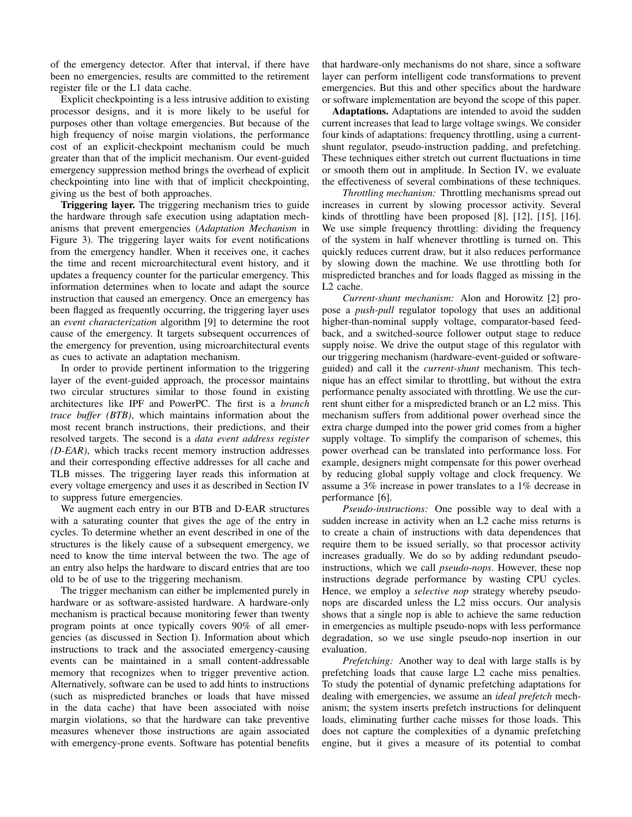of the emergency detector. After that interval, if there have been no emergencies, results are committed to the retirement register file or the L1 data cache.

Explicit checkpointing is a less intrusive addition to existing processor designs, and it is more likely to be useful for purposes other than voltage emergencies. But because of the high frequency of noise margin violations, the performance cost of an explicit-checkpoint mechanism could be much greater than that of the implicit mechanism. Our event-guided emergency suppression method brings the overhead of explicit checkpointing into line with that of implicit checkpointing, giving us the best of both approaches.

Triggering layer. The triggering mechanism tries to guide the hardware through safe execution using adaptation mechanisms that prevent emergencies (*Adaptation Mechanism* in Figure 3). The triggering layer waits for event notifications from the emergency handler. When it receives one, it caches the time and recent microarchitectural event history, and it updates a frequency counter for the particular emergency. This information determines when to locate and adapt the source instruction that caused an emergency. Once an emergency has been flagged as frequently occurring, the triggering layer uses an *event characterization* algorithm [9] to determine the root cause of the emergency. It targets subsequent occurrences of the emergency for prevention, using microarchitectural events as cues to activate an adaptation mechanism.

In order to provide pertinent information to the triggering layer of the event-guided approach, the processor maintains two circular structures similar to those found in existing architectures like IPF and PowerPC. The first is a *branch trace buffer (BTB)*, which maintains information about the most recent branch instructions, their predictions, and their resolved targets. The second is a *data event address register (D-EAR)*, which tracks recent memory instruction addresses and their corresponding effective addresses for all cache and TLB misses. The triggering layer reads this information at every voltage emergency and uses it as described in Section IV to suppress future emergencies.

We augment each entry in our BTB and D-EAR structures with a saturating counter that gives the age of the entry in cycles. To determine whether an event described in one of the structures is the likely cause of a subsequent emergency, we need to know the time interval between the two. The age of an entry also helps the hardware to discard entries that are too old to be of use to the triggering mechanism.

The trigger mechanism can either be implemented purely in hardware or as software-assisted hardware. A hardware-only mechanism is practical because monitoring fewer than twenty program points at once typically covers 90% of all emergencies (as discussed in Section I). Information about which instructions to track and the associated emergency-causing events can be maintained in a small content-addressable memory that recognizes when to trigger preventive action. Alternatively, software can be used to add hints to instructions (such as mispredicted branches or loads that have missed in the data cache) that have been associated with noise margin violations, so that the hardware can take preventive measures whenever those instructions are again associated with emergency-prone events. Software has potential benefits that hardware-only mechanisms do not share, since a software layer can perform intelligent code transformations to prevent emergencies. But this and other specifics about the hardware or software implementation are beyond the scope of this paper.

Adaptations. Adaptations are intended to avoid the sudden current increases that lead to large voltage swings. We consider four kinds of adaptations: frequency throttling, using a currentshunt regulator, pseudo-instruction padding, and prefetching. These techniques either stretch out current fluctuations in time or smooth them out in amplitude. In Section IV, we evaluate the effectiveness of several combinations of these techniques.

*Throttling mechanism:* Throttling mechanisms spread out increases in current by slowing processor activity. Several kinds of throttling have been proposed [8], [12], [15], [16]. We use simple frequency throttling: dividing the frequency of the system in half whenever throttling is turned on. This quickly reduces current draw, but it also reduces performance by slowing down the machine. We use throttling both for mispredicted branches and for loads flagged as missing in the L2 cache.

*Current-shunt mechanism:* Alon and Horowitz [2] propose a *push-pull* regulator topology that uses an additional higher-than-nominal supply voltage, comparator-based feedback, and a switched-source follower output stage to reduce supply noise. We drive the output stage of this regulator with our triggering mechanism (hardware-event-guided or softwareguided) and call it the *current-shunt* mechanism. This technique has an effect similar to throttling, but without the extra performance penalty associated with throttling. We use the current shunt either for a mispredicted branch or an L2 miss. This mechanism suffers from additional power overhead since the extra charge dumped into the power grid comes from a higher supply voltage. To simplify the comparison of schemes, this power overhead can be translated into performance loss. For example, designers might compensate for this power overhead by reducing global supply voltage and clock frequency. We assume a 3% increase in power translates to a 1% decrease in performance [6].

*Pseudo-instructions:* One possible way to deal with a sudden increase in activity when an L2 cache miss returns is to create a chain of instructions with data dependences that require them to be issued serially, so that processor activity increases gradually. We do so by adding redundant pseudoinstructions, which we call *pseudo-nops*. However, these nop instructions degrade performance by wasting CPU cycles. Hence, we employ a *selective nop* strategy whereby pseudonops are discarded unless the L2 miss occurs. Our analysis shows that a single nop is able to achieve the same reduction in emergencies as multiple pseudo-nops with less performance degradation, so we use single pseudo-nop insertion in our evaluation.

*Prefetching:* Another way to deal with large stalls is by prefetching loads that cause large L2 cache miss penalties. To study the potential of dynamic prefetching adaptations for dealing with emergencies, we assume an *ideal prefetch* mechanism; the system inserts prefetch instructions for delinquent loads, eliminating further cache misses for those loads. This does not capture the complexities of a dynamic prefetching engine, but it gives a measure of its potential to combat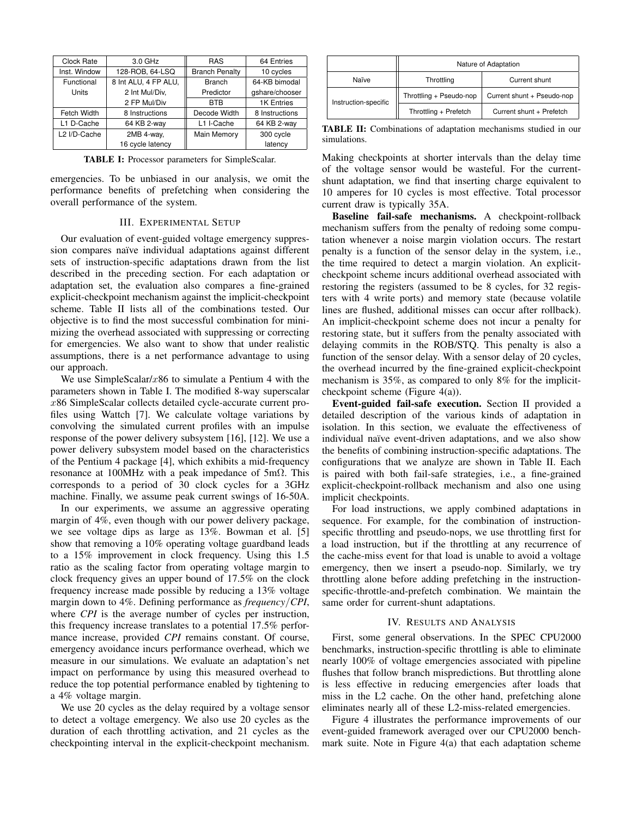| <b>Clock Rate</b> | 3.0 GHz              | <b>RAS</b>            | 64 Entries        |
|-------------------|----------------------|-----------------------|-------------------|
| Inst. Window      | 128-ROB, 64-LSQ      | <b>Branch Penalty</b> | 10 cycles         |
| Functional        | 8 Int ALU, 4 FP ALU, | <b>Branch</b>         | 64-KB bimodal     |
| Units             | 2 Int Mul/Div,       | Predictor             | gshare/chooser    |
|                   | 2 FP Mul/Div         | <b>BTB</b>            | <b>1K Entries</b> |
| Fetch Width       | 8 Instructions       | Decode Width          | 8 Instructions    |
| L1 D-Cache        | 64 KB 2-way          | L1 I-Cache            | 64 KB 2-way       |
| L2 I/D-Cache      | 2MB 4-way,           | <b>Main Memory</b>    | 300 cycle         |
|                   | 16 cycle latency     |                       | latency           |

TABLE I: Processor parameters for SimpleScalar.

emergencies. To be unbiased in our analysis, we omit the performance benefits of prefetching when considering the overall performance of the system.

### III. EXPERIMENTAL SETUP

Our evaluation of event-guided voltage emergency suppression compares naïve individual adaptations against different sets of instruction-specific adaptations drawn from the list described in the preceding section. For each adaptation or adaptation set, the evaluation also compares a fine-grained explicit-checkpoint mechanism against the implicit-checkpoint scheme. Table II lists all of the combinations tested. Our objective is to find the most successful combination for minimizing the overhead associated with suppressing or correcting for emergencies. We also want to show that under realistic assumptions, there is a net performance advantage to using our approach.

We use SimpleScalar/ $x86$  to simulate a Pentium 4 with the parameters shown in Table I. The modified 8-way superscalar x86 SimpleScalar collects detailed cycle-accurate current profiles using Wattch [7]. We calculate voltage variations by convolving the simulated current profiles with an impulse response of the power delivery subsystem [16], [12]. We use a power delivery subsystem model based on the characteristics of the Pentium 4 package [4], which exhibits a mid-frequency resonance at 100MHz with a peak impedance of  $5m\Omega$ . This corresponds to a period of 30 clock cycles for a 3GHz machine. Finally, we assume peak current swings of 16-50A.

In our experiments, we assume an aggressive operating margin of 4%, even though with our power delivery package, we see voltage dips as large as 13%. Bowman et al. [5] show that removing a 10% operating voltage guardband leads to a 15% improvement in clock frequency. Using this 1.5 ratio as the scaling factor from operating voltage margin to clock frequency gives an upper bound of 17.5% on the clock frequency increase made possible by reducing a 13% voltage margin down to 4%. Defining performance as *frequency*/*CPI*, where *CPI* is the average number of cycles per instruction, this frequency increase translates to a potential 17.5% performance increase, provided *CPI* remains constant. Of course, emergency avoidance incurs performance overhead, which we measure in our simulations. We evaluate an adaptation's net impact on performance by using this measured overhead to reduce the top potential performance enabled by tightening to a 4% voltage margin.

We use 20 cycles as the delay required by a voltage sensor to detect a voltage emergency. We also use 20 cycles as the duration of each throttling activation, and 21 cycles as the checkpointing interval in the explicit-checkpoint mechanism.

|                      | Nature of Adaptation    |                            |  |
|----------------------|-------------------------|----------------------------|--|
| Naïve                | Throttling              | Current shunt              |  |
| Instruction-specific | Throttling + Pseudo-nop | Current shunt + Pseudo-nop |  |
|                      | Throttling + Prefetch   | Current shunt + Prefetch   |  |

TABLE II: Combinations of adaptation mechanisms studied in our simulations.

Making checkpoints at shorter intervals than the delay time of the voltage sensor would be wasteful. For the currentshunt adaptation, we find that inserting charge equivalent to 10 amperes for 10 cycles is most effective. Total processor current draw is typically 35A.

Baseline fail-safe mechanisms. A checkpoint-rollback mechanism suffers from the penalty of redoing some computation whenever a noise margin violation occurs. The restart penalty is a function of the sensor delay in the system, i.e., the time required to detect a margin violation. An explicitcheckpoint scheme incurs additional overhead associated with restoring the registers (assumed to be 8 cycles, for 32 registers with 4 write ports) and memory state (because volatile lines are flushed, additional misses can occur after rollback). An implicit-checkpoint scheme does not incur a penalty for restoring state, but it suffers from the penalty associated with delaying commits in the ROB/STQ. This penalty is also a function of the sensor delay. With a sensor delay of 20 cycles, the overhead incurred by the fine-grained explicit-checkpoint mechanism is 35%, as compared to only 8% for the implicitcheckpoint scheme (Figure 4(a)).

Event-guided fail-safe execution. Section II provided a detailed description of the various kinds of adaptation in isolation. In this section, we evaluate the effectiveness of individual naïve event-driven adaptations, and we also show the benefits of combining instruction-specific adaptations. The configurations that we analyze are shown in Table II. Each is paired with both fail-safe strategies, i.e., a fine-grained explicit-checkpoint-rollback mechanism and also one using implicit checkpoints.

For load instructions, we apply combined adaptations in sequence. For example, for the combination of instructionspecific throttling and pseudo-nops, we use throttling first for a load instruction, but if the throttling at any recurrence of the cache-miss event for that load is unable to avoid a voltage emergency, then we insert a pseudo-nop. Similarly, we try throttling alone before adding prefetching in the instructionspecific-throttle-and-prefetch combination. We maintain the same order for current-shunt adaptations.

## IV. RESULTS AND ANALYSIS

First, some general observations. In the SPEC CPU2000 benchmarks, instruction-specific throttling is able to eliminate nearly 100% of voltage emergencies associated with pipeline flushes that follow branch mispredictions. But throttling alone is less effective in reducing emergencies after loads that miss in the L2 cache. On the other hand, prefetching alone eliminates nearly all of these L2-miss-related emergencies.

Figure 4 illustrates the performance improvements of our event-guided framework averaged over our CPU2000 benchmark suite. Note in Figure 4(a) that each adaptation scheme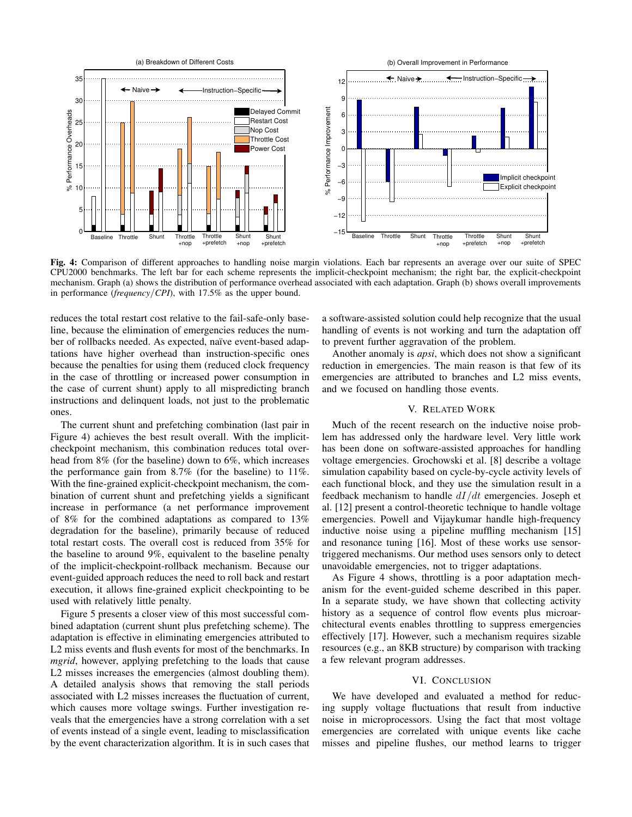

Fig. 4: Comparison of different approaches to handling noise margin violations. Each bar represents an average over our suite of SPEC CPU2000 benchmarks. The left bar for each scheme represents the implicit-checkpoint mechanism; the right bar, the explicit-checkpoint mechanism. Graph (a) shows the distribution of performance overhead associated with each adaptation. Graph (b) shows overall improvements in performance (*frequency*/*CPI*), with 17.5% as the upper bound.

reduces the total restart cost relative to the fail-safe-only baseline, because the elimination of emergencies reduces the number of rollbacks needed. As expected, naïve event-based adaptations have higher overhead than instruction-specific ones because the penalties for using them (reduced clock frequency in the case of throttling or increased power consumption in the case of current shunt) apply to all mispredicting branch instructions and delinquent loads, not just to the problematic ones.

The current shunt and prefetching combination (last pair in Figure 4) achieves the best result overall. With the implicitcheckpoint mechanism, this combination reduces total overhead from 8% (for the baseline) down to 6%, which increases the performance gain from 8.7% (for the baseline) to 11%. With the fine-grained explicit-checkpoint mechanism, the combination of current shunt and prefetching yields a significant increase in performance (a net performance improvement of 8% for the combined adaptations as compared to 13% degradation for the baseline), primarily because of reduced total restart costs. The overall cost is reduced from 35% for the baseline to around 9%, equivalent to the baseline penalty of the implicit-checkpoint-rollback mechanism. Because our event-guided approach reduces the need to roll back and restart execution, it allows fine-grained explicit checkpointing to be used with relatively little penalty.

Figure 5 presents a closer view of this most successful combined adaptation (current shunt plus prefetching scheme). The adaptation is effective in eliminating emergencies attributed to L2 miss events and flush events for most of the benchmarks. In *mgrid*, however, applying prefetching to the loads that cause L<sub>2</sub> misses increases the emergencies (almost doubling them). A detailed analysis shows that removing the stall periods associated with L2 misses increases the fluctuation of current, which causes more voltage swings. Further investigation reveals that the emergencies have a strong correlation with a set of events instead of a single event, leading to misclassification by the event characterization algorithm. It is in such cases that a software-assisted solution could help recognize that the usual handling of events is not working and turn the adaptation off to prevent further aggravation of the problem.

Another anomaly is *apsi*, which does not show a significant reduction in emergencies. The main reason is that few of its emergencies are attributed to branches and L2 miss events, and we focused on handling those events.

## V. RELATED WORK

Much of the recent research on the inductive noise problem has addressed only the hardware level. Very little work has been done on software-assisted approaches for handling voltage emergencies. Grochowski et al. [8] describe a voltage simulation capability based on cycle-by-cycle activity levels of each functional block, and they use the simulation result in a feedback mechanism to handle  $dI/dt$  emergencies. Joseph et al. [12] present a control-theoretic technique to handle voltage emergencies. Powell and Vijaykumar handle high-frequency inductive noise using a pipeline muffling mechanism [15] and resonance tuning [16]. Most of these works use sensortriggered mechanisms. Our method uses sensors only to detect unavoidable emergencies, not to trigger adaptations.

As Figure 4 shows, throttling is a poor adaptation mechanism for the event-guided scheme described in this paper. In a separate study, we have shown that collecting activity history as a sequence of control flow events plus microarchitectural events enables throttling to suppress emergencies effectively [17]. However, such a mechanism requires sizable resources (e.g., an 8KB structure) by comparison with tracking a few relevant program addresses.

## VI. CONCLUSION

We have developed and evaluated a method for reducing supply voltage fluctuations that result from inductive noise in microprocessors. Using the fact that most voltage emergencies are correlated with unique events like cache misses and pipeline flushes, our method learns to trigger